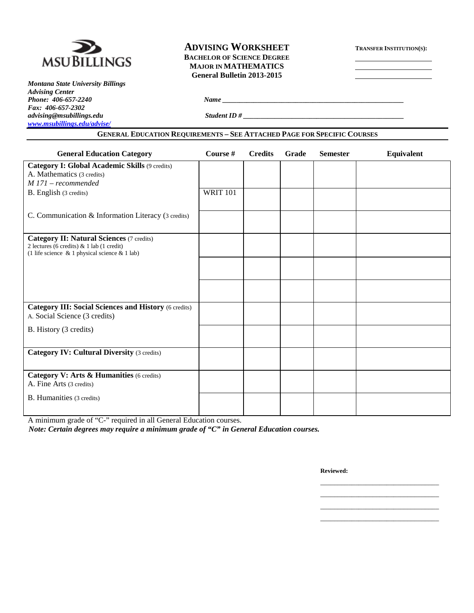

*Montana State University Billings Advising Center Phone:* 406-657-2240 *Name Fax: 406-657-2302*  $advising@msubillings.edu$ *[www.msubillings.edu/advise/](http://www.msubillings.edu/advise/)*

# **ADVISING WORKSHEET TRANSFER INSTITUTION(S): BACHELOR OF SCIENCE DEGREE MAJOR IN MATHEMATICS General Bulletin 2013-2015**

| --------- |             |  |  |  |
|-----------|-------------|--|--|--|
|           |             |  |  |  |
|           | Student ID# |  |  |  |

#### **GENERAL EDUCATION REQUIREMENTS – SEE ATTACHED PAGE FOR SPECIFIC COURSES**

| <b>General Education Category</b>                                                                                                                    | Course #        | <b>Credits</b> | Grade | <b>Semester</b> | Equivalent |
|------------------------------------------------------------------------------------------------------------------------------------------------------|-----------------|----------------|-------|-----------------|------------|
| <b>Category I: Global Academic Skills (9 credits)</b><br>A. Mathematics (3 credits)<br>$M$ 171 – recommended                                         |                 |                |       |                 |            |
| B. English (3 credits)                                                                                                                               | <b>WRIT 101</b> |                |       |                 |            |
| C. Communication & Information Literacy (3 credits)                                                                                                  |                 |                |       |                 |            |
| <b>Category II: Natural Sciences (7 credits)</b><br>2 lectures (6 credits) & 1 lab (1 credit)<br>(1 life science $\&$ 1 physical science $\&$ 1 lab) |                 |                |       |                 |            |
|                                                                                                                                                      |                 |                |       |                 |            |
|                                                                                                                                                      |                 |                |       |                 |            |
| <b>Category III: Social Sciences and History (6 credits)</b><br>A. Social Science (3 credits)                                                        |                 |                |       |                 |            |
| B. History (3 credits)                                                                                                                               |                 |                |       |                 |            |
| <b>Category IV: Cultural Diversity (3 credits)</b>                                                                                                   |                 |                |       |                 |            |
| Category V: Arts & Humanities (6 credits)<br>A. Fine Arts (3 credits)                                                                                |                 |                |       |                 |            |
| B. Humanities (3 credits)                                                                                                                            |                 |                |       |                 |            |

A minimum grade of "C-" required in all General Education courses.

*Note: Certain degrees may require a minimum grade of "C" in General Education courses.*

**Reviewed:**

\_\_\_\_\_\_\_\_\_\_\_\_\_\_\_\_\_\_\_\_\_\_\_\_\_\_\_\_\_\_\_\_\_\_ \_\_\_\_\_\_\_\_\_\_\_\_\_\_\_\_\_\_\_\_\_\_\_\_\_\_\_\_\_\_\_\_\_\_ \_\_\_\_\_\_\_\_\_\_\_\_\_\_\_\_\_\_\_\_\_\_\_\_\_\_\_\_\_\_\_\_\_\_ \_\_\_\_\_\_\_\_\_\_\_\_\_\_\_\_\_\_\_\_\_\_\_\_\_\_\_\_\_\_\_\_\_\_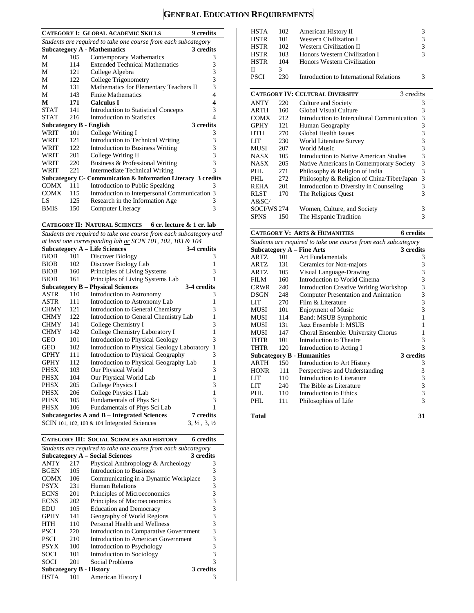# **GENERAL EDUCATION REQUIREMENTS**

| <b>CATEGORY I: GLOBAL ACADEMIC SKILLS</b><br>9 credits         |      |                                                                |                          |  |  |  |  |
|----------------------------------------------------------------|------|----------------------------------------------------------------|--------------------------|--|--|--|--|
| Students are required to take one course from each subcategory |      |                                                                |                          |  |  |  |  |
|                                                                |      | <b>Subcategory A - Mathematics</b>                             | 3 credits                |  |  |  |  |
| M                                                              | 105  | Contemporary Mathematics                                       | 3                        |  |  |  |  |
| М                                                              | 114  | <b>Extended Technical Mathematics</b>                          | 3                        |  |  |  |  |
| M                                                              | 121  | College Algebra                                                | 3                        |  |  |  |  |
| М                                                              | 122  | College Trigonometry                                           | 3                        |  |  |  |  |
| M                                                              | 131  | Mathematics for Elementary Teachers II                         | 3                        |  |  |  |  |
| М                                                              | 143  | <b>Finite Mathematics</b>                                      | 4                        |  |  |  |  |
| M                                                              | 171  | <b>Calculus I</b>                                              | 4                        |  |  |  |  |
| <b>STAT</b>                                                    | 141  | <b>Introduction to Statistical Concepts</b>                    | 3                        |  |  |  |  |
| <b>STAT</b>                                                    | 216  | Introduction to Statistics                                     | 4                        |  |  |  |  |
|                                                                |      | Subcategory B - English                                        | 3 credits                |  |  |  |  |
| WRIT                                                           | 101  | College Writing I                                              | 3                        |  |  |  |  |
| WRIT                                                           | 12.1 | Introduction to Technical Writing                              | 3                        |  |  |  |  |
| WRIT                                                           | 122  | Introduction to Business Writing                               | 3                        |  |  |  |  |
| WRIT                                                           | 201  | College Writing II                                             | 3                        |  |  |  |  |
| WRIT                                                           | 220  | Business & Professional Writing                                | 3                        |  |  |  |  |
| WRIT                                                           | 22.1 | Intermediate Technical Writing                                 | $\overline{\mathcal{E}}$ |  |  |  |  |
|                                                                |      | Subcategory C - Communication & Information Literacy 3 credits |                          |  |  |  |  |
| COMX                                                           | 111  | Introduction to Public Speaking                                | 3                        |  |  |  |  |
| <b>COMX</b>                                                    | 115  | Introduction to Interpersonal Communication 3                  |                          |  |  |  |  |
| LS                                                             | 125  | Research in the Information Age                                | 3                        |  |  |  |  |
| <b>BMIS</b>                                                    | 150  | Computer Literacy                                              | 3                        |  |  |  |  |

#### **CATEGORY II: NATURAL SCIENCES 6 cr. lecture & 1 cr. lab**

*Students are required to take one course from each subcategory and at least one corresponding lab or SCIN 101, 102, 103 & 104*

|             |     | <b>Subcategory A – Life Sciences</b>            | 3-4 credits                      |
|-------------|-----|-------------------------------------------------|----------------------------------|
| <b>BIOB</b> | 101 | Discover Biology                                | 3                                |
| <b>BIOB</b> | 102 | Discover Biology Lab                            | 1                                |
| <b>BIOB</b> | 160 | Principles of Living Systems                    | 3                                |
| <b>BIOB</b> | 161 | Principles of Living Systems Lab                | 1                                |
|             |     | <b>Subcategory B – Physical Sciences</b>        | 3-4 credits                      |
| ASTR        | 110 | Introduction to Astronomy                       | 3                                |
| ASTR        | 111 | Introduction to Astronomy Lab                   | 1                                |
| <b>CHMY</b> | 121 | Introduction to General Chemistry               | 3                                |
| <b>CHMY</b> | 122 | Introduction to General Chemistry Lab           | 1                                |
| <b>CHMY</b> | 141 | College Chemistry I                             | 3                                |
| <b>CHMY</b> | 142 | College Chemistry Laboratory I                  | $\mathbf{1}$                     |
| GEO         | 101 | <b>Introduction to Physical Geology</b>         | 3                                |
| GEO         | 102 | Introduction to Physical Geology Laboratory     | $\mathbf{1}$                     |
| <b>GPHY</b> | 111 | Introduction to Physical Geography              | 3                                |
| <b>GPHY</b> | 112 | Introduction to Physical Geography Lab          | 1                                |
| PHSX        | 103 | Our Physical World                              | 3                                |
| PHSX        | 104 | Our Physical World Lab                          | $\mathbf{1}$                     |
| PHSX        | 205 | College Physics I                               | 3                                |
| PHSX        | 206 | College Physics I Lab                           | 1                                |
| PHSX        | 105 | Fundamentals of Phys Sci                        | 3                                |
| <b>PHSX</b> | 106 | Fundamentals of Phys Sci Lab                    | 1                                |
|             |     | Subcategories A and B – Integrated Sciences     | 7 credits                        |
|             |     | SCIN 101, 102, 103 $\&$ 104 Integrated Sciences | $3, \frac{1}{2}, 3, \frac{1}{2}$ |

| CATEGORY III: SOCIAL SCIENCES AND HISTORY<br>6 credits |  |
|--------------------------------------------------------|--|
|--------------------------------------------------------|--|

|                                                                |     | CATEGORY III: SOCIAL SCIENCES AND HISTORY | 6 credits |  |  |  |  |
|----------------------------------------------------------------|-----|-------------------------------------------|-----------|--|--|--|--|
| Students are required to take one course from each subcategory |     |                                           |           |  |  |  |  |
|                                                                |     | <b>Subcategory A – Social Sciences</b>    | 3 credits |  |  |  |  |
| ANTY                                                           | 217 | Physical Anthropology & Archeology        | 3         |  |  |  |  |
| <b>BGEN</b>                                                    | 105 | Introduction to Business                  | 3         |  |  |  |  |
| <b>COMX</b>                                                    | 106 | Communicating in a Dynamic Workplace      | 3         |  |  |  |  |
| <b>PSYX</b>                                                    | 231 | Human Relations                           | 3         |  |  |  |  |
| <b>ECNS</b>                                                    | 201 | Principles of Microeconomics              | 3         |  |  |  |  |
| <b>ECNS</b>                                                    | 202 | Principles of Macroeconomics              | 3         |  |  |  |  |
| EDU                                                            | 105 | <b>Education and Democracy</b>            | 3         |  |  |  |  |
| <b>GPHY</b>                                                    | 141 | Geography of World Regions                | 3         |  |  |  |  |
| HTH                                                            | 110 | Personal Health and Wellness              | 3         |  |  |  |  |
| <b>PSCI</b>                                                    | 220 | Introduction to Comparative Government    | 3         |  |  |  |  |
| PSCI                                                           | 210 | Introduction to American Government       | 3         |  |  |  |  |
| <b>PSYX</b>                                                    | 100 | Introduction to Psychology                | 3         |  |  |  |  |
| <b>SOCI</b>                                                    | 101 | Introduction to Sociology                 | 3         |  |  |  |  |
| SOCI                                                           | 201 | Social Problems                           | 3         |  |  |  |  |
|                                                                |     | <b>Subcategory B - History</b>            | 3 credits |  |  |  |  |
| HSTA                                                           | 101 | American History I                        | 3         |  |  |  |  |

| <b>HSTA</b> | 102 | American History II                                 | 3 |
|-------------|-----|-----------------------------------------------------|---|
| <b>HSTR</b> | 101 | Western Civilization I                              | 3 |
| <b>HSTR</b> | 102 | <b>Western Civilization II</b>                      | 3 |
| <b>HSTR</b> | 103 | Honors Western Civilization I                       | 3 |
| <b>HSTR</b> | 104 | Honors Western Civilization                         |   |
| П           | 3   |                                                     |   |
| <b>PSCI</b> | 230 | Introduction to International Relations             | 3 |
|             |     |                                                     |   |
|             |     | <b>CATEGORY IV: CULTURAL DIVERSITY</b><br>3 credits |   |
| <b>ANTY</b> | 220 | Culture and Society                                 | 3 |
| ARTH        | 160 | Global Visual Culture                               | 3 |
| <b>COMX</b> | 212 | Introduction to Intercultural Communication         | 3 |
| <b>GPHY</b> | 121 | Human Geography                                     | 3 |
| <b>HTH</b>  | 270 | <b>Global Health Issues</b>                         | 3 |
| LIT         | 230 | World Literature Survey                             | 3 |
| MUSI        | 207 | World Music                                         | 3 |
| NASX-       | 105 | Introduction to Native American Studies             | 3 |
| NASX        | 205 | Native Americans in Contemporary Society            | 3 |
| PHL.        | 271 | Philosophy & Religion of India                      | 3 |
| PHL.        | 272 | Philosophy & Religion of China/Tibet/Japan          | 3 |
| REHA        | 201 | Introduction to Diversity in Counseling             | 3 |
| <b>RLST</b> | 170 | The Religious Quest                                 | 3 |
| A&SC/       |     |                                                     |   |
| SOCI/WS 274 |     | Women, Culture, and Society                         | 3 |
| <b>SPNS</b> | 150 | The Hispanic Tradition                              | 3 |
|             |     |                                                     |   |

## **CATEGORY V: ARTS & HUMANITIES 6 credits**

| Students are required to take one course from each subcategory |     |                                            |           |  |  |  |
|----------------------------------------------------------------|-----|--------------------------------------------|-----------|--|--|--|
|                                                                |     | Subcategory $A$ – Fine Arts                | 3 credits |  |  |  |
| ARTZ                                                           | 101 | Art Fundamentals                           | 3         |  |  |  |
| <b>ARTZ</b>                                                    | 131 | Ceramics for Non-majors                    | 3         |  |  |  |
| ARTZ.                                                          | 105 | Visual Language-Drawing                    | 3         |  |  |  |
| FILM                                                           | 160 | Introduction to World Cinema               | 3         |  |  |  |
| CRWR                                                           | 240 | Introduction Creative Writing Workshop     | 3         |  |  |  |
| <b>DSGN</b>                                                    | 248 | <b>Computer Presentation and Animation</b> | 3         |  |  |  |
| LIT                                                            | 270 | Film & Literature                          | 3         |  |  |  |
| MUSI                                                           | 101 | <b>Enjoyment of Music</b>                  | 3         |  |  |  |
| MUSI                                                           | 114 | Band: MSUB Symphonic                       |           |  |  |  |
| MUSI                                                           | 131 | Jazz Ensemble I: MSUB                      | 1         |  |  |  |
| MUSI                                                           | 147 | Choral Ensemble: University Chorus         | 1         |  |  |  |
| THTR                                                           | 101 | Introduction to Theatre                    | 3         |  |  |  |
| THTR                                                           | 120 | Introduction to Acting I                   | 3         |  |  |  |
|                                                                |     | <b>Subcategory B - Humanities</b>          | 3 credits |  |  |  |
| <b>ARTH</b>                                                    | 150 | Introduction to Art History                | 3         |  |  |  |
| <b>HONR</b>                                                    | 111 | Perspectives and Understanding             | 3         |  |  |  |
| LIT                                                            | 110 | Introduction to Literature                 | 3         |  |  |  |
| LIT                                                            | 240 | The Bible as Literature                    | 3         |  |  |  |
| PHL                                                            | 110 | Introduction to Ethics                     | 3         |  |  |  |
| PHL                                                            | 111 | Philosophies of Life                       | 3         |  |  |  |
|                                                                |     |                                            |           |  |  |  |

**Total 31**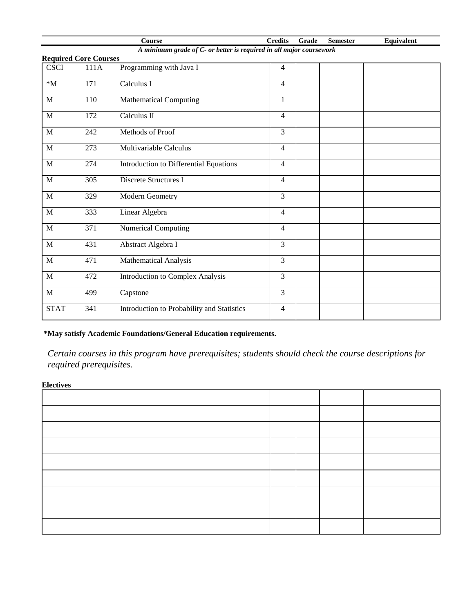|                                                                     |                              | <b>Course</b>                              | <b>Credits</b> | Grade | <b>Semester</b> | Equivalent |  |
|---------------------------------------------------------------------|------------------------------|--------------------------------------------|----------------|-------|-----------------|------------|--|
| A minimum grade of C- or better is required in all major coursework |                              |                                            |                |       |                 |            |  |
|                                                                     | <b>Required Core Courses</b> |                                            |                |       |                 |            |  |
| <b>CSCI</b>                                                         | 111A                         | Programming with Java I                    | $\overline{4}$ |       |                 |            |  |
| $^*M$                                                               | 171                          | $\overline{\text{Calculus}}$ I             | $\overline{4}$ |       |                 |            |  |
| M                                                                   | 110                          | <b>Mathematical Computing</b>              | $\mathbf{1}$   |       |                 |            |  |
| M                                                                   | 172                          | Calculus II                                | $\overline{4}$ |       |                 |            |  |
| $\mathbf M$                                                         | 242                          | Methods of Proof                           | $\overline{3}$ |       |                 |            |  |
| M                                                                   | 273                          | Multivariable Calculus                     | $\overline{4}$ |       |                 |            |  |
| M                                                                   | 274                          | Introduction to Differential Equations     | $\overline{4}$ |       |                 |            |  |
| M                                                                   | 305                          | <b>Discrete Structures I</b>               | $\overline{4}$ |       |                 |            |  |
| M                                                                   | 329                          | Modern Geometry                            | $\overline{3}$ |       |                 |            |  |
| M                                                                   | 333                          | Linear Algebra                             | $\overline{4}$ |       |                 |            |  |
| M                                                                   | 371                          | <b>Numerical Computing</b>                 | $\overline{4}$ |       |                 |            |  |
| M                                                                   | 431                          | Abstract Algebra I                         | $\overline{3}$ |       |                 |            |  |
| M                                                                   | 471                          | Mathematical Analysis                      | $\overline{3}$ |       |                 |            |  |
| M                                                                   | 472                          | <b>Introduction to Complex Analysis</b>    | $\overline{3}$ |       |                 |            |  |
| $\mathbf M$                                                         | 499                          | Capstone                                   | 3              |       |                 |            |  |
| <b>STAT</b>                                                         | 341                          | Introduction to Probability and Statistics | $\overline{4}$ |       |                 |            |  |

# **\*May satisfy Academic Foundations/General Education requirements.**

*Certain courses in this program have prerequisites; students should check the course descriptions for required prerequisites.*

**Electives**